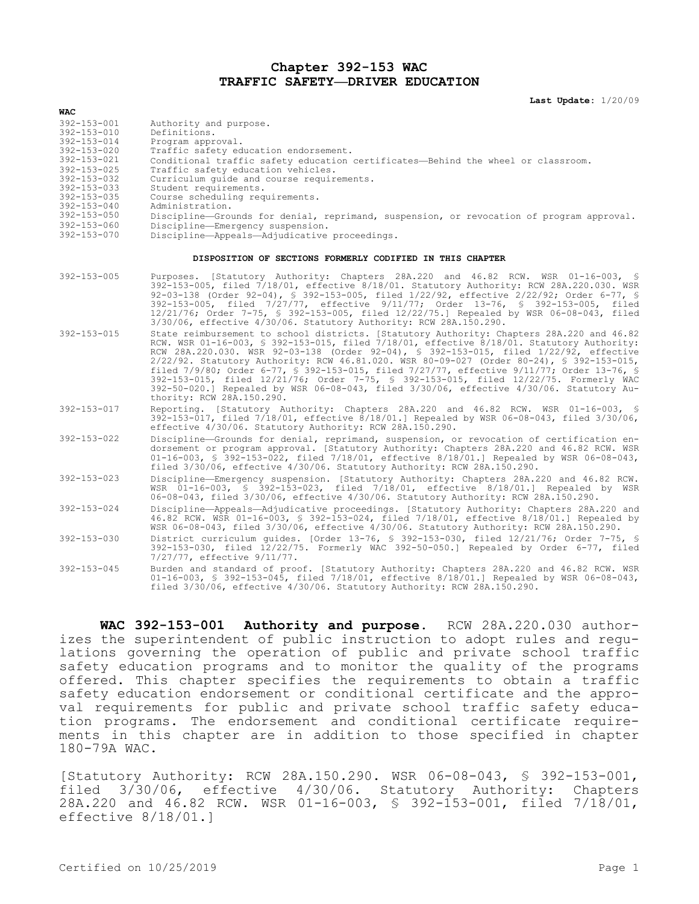## **Chapter 392-153 WAC TRAFFIC SAFETY—DRIVER EDUCATION**

**Last Update:** 1/20/09

| WAC                                                       |                                                                                                                                                                                                                                                                                                                                                                                                                                                                                                                                                                                                                                                                                          |
|-----------------------------------------------------------|------------------------------------------------------------------------------------------------------------------------------------------------------------------------------------------------------------------------------------------------------------------------------------------------------------------------------------------------------------------------------------------------------------------------------------------------------------------------------------------------------------------------------------------------------------------------------------------------------------------------------------------------------------------------------------------|
| $392 - 153 - 001$                                         | Authority and purpose.                                                                                                                                                                                                                                                                                                                                                                                                                                                                                                                                                                                                                                                                   |
| $392 - 153 - 010$                                         | Definitions.                                                                                                                                                                                                                                                                                                                                                                                                                                                                                                                                                                                                                                                                             |
| $392 - 153 - 014$                                         | Program approval.                                                                                                                                                                                                                                                                                                                                                                                                                                                                                                                                                                                                                                                                        |
| $392 - 153 - 020$<br>392-153-021                          | Traffic safety education endorsement.                                                                                                                                                                                                                                                                                                                                                                                                                                                                                                                                                                                                                                                    |
| $392 - 153 - 025$                                         | Conditional traffic safety education certificates-Behind the wheel or classroom.<br>Traffic safety education vehicles.                                                                                                                                                                                                                                                                                                                                                                                                                                                                                                                                                                   |
| $392 - 153 - 032$                                         | Curriculum quide and course requirements.                                                                                                                                                                                                                                                                                                                                                                                                                                                                                                                                                                                                                                                |
| 392-153-033                                               | Student requirements.                                                                                                                                                                                                                                                                                                                                                                                                                                                                                                                                                                                                                                                                    |
| $392 - 153 - 035$                                         | Course scheduling requirements.                                                                                                                                                                                                                                                                                                                                                                                                                                                                                                                                                                                                                                                          |
| $392 - 153 - 040$                                         | Administration.                                                                                                                                                                                                                                                                                                                                                                                                                                                                                                                                                                                                                                                                          |
| $392 - 153 - 050$                                         | Discipline-Grounds for denial, reprimand, suspension, or revocation of program approval.                                                                                                                                                                                                                                                                                                                                                                                                                                                                                                                                                                                                 |
| $392 - 153 - 060$                                         | Discipline-Emergency suspension.                                                                                                                                                                                                                                                                                                                                                                                                                                                                                                                                                                                                                                                         |
| $392 - 153 - 070$                                         | Discipline-Appeals-Adjudicative proceedings.                                                                                                                                                                                                                                                                                                                                                                                                                                                                                                                                                                                                                                             |
| DISPOSITION OF SECTIONS FORMERLY CODIFIED IN THIS CHAPTER |                                                                                                                                                                                                                                                                                                                                                                                                                                                                                                                                                                                                                                                                                          |
| $392 - 153 - 005$                                         | Purposes. [Statutory Authority: Chapters 28A.220 and 46.82 RCW. WSR 01-16-003, §<br>392-153-005, filed 7/18/01, effective 8/18/01. Statutory Authority: RCW 28A.220.030. WSR<br>92-03-138 (Order 92-04), § 392-153-005, filed 1/22/92, effective 2/22/92; Order 6-77, §<br>392-153-005, filed 7/27/77, effective 9/11/77; Order 13-76, § 392-153-005, filed<br>12/21/76; Order 7-75, § 392-153-005, filed 12/22/75.] Repealed by WSR 06-08-043, filed<br>3/30/06, effective 4/30/06. Statutory Authority: RCW 28A.150.290.                                                                                                                                                               |
| $392 - 153 - 015$                                         | State reimbursement to school districts. [Statutory Authority: Chapters 28A.220 and 46.82<br>RCW. WSR 01-16-003, § 392-153-015, filed 7/18/01, effective 8/18/01. Statutory Authority:<br>RCW 28A.220.030. WSR 92-03-138 (Order 92-04), § 392-153-015, filed 1/22/92, effective<br>2/22/92. Statutory Authority: RCW 46.81.020. WSR 80-09-027 (Order 80-24), § 392-153-015,<br>filed 7/9/80; Order 6-77, § 392-153-015, filed 7/27/77, effective 9/11/77; Order 13-76, §<br>392-153-015, filed 12/21/76; Order 7-75, § 392-153-015, filed 12/22/75. Formerly WAC<br>392-50-020.] Repealed by WSR 06-08-043, filed 3/30/06, effective 4/30/06. Statutory Au-<br>thority: RCW 28A.150.290. |
| $392 - 153 - 017$                                         | Reporting. [Statutory Authority: Chapters 28A.220 and 46.82 RCW. WSR 01-16-003, §<br>392-153-017, filed 7/18/01, effective 8/18/01.1 Repealed by WSR 06-08-043, filed 3/30/06,<br>effective 4/30/06. Statutory Authority: RCW 28A.150.290.                                                                                                                                                                                                                                                                                                                                                                                                                                               |
| $392 - 153 - 022$                                         | Discipline-Grounds for denial, reprimand, suspension, or revocation of certification en-<br>dorsement or program approval. [Statutory Authority: Chapters 28A.220 and 46.82 RCW. WSR<br>01-16-003, § 392-153-022, filed 7/18/01, effective 8/18/01.] Repealed by WSR 06-08-043,<br>filed 3/30/06, effective 4/30/06. Statutory Authority: RCW 28A.150.290.                                                                                                                                                                                                                                                                                                                               |
| $392 - 153 - 023$                                         | Discipline-Emergency suspension. [Statutory Authority: Chapters 28A.220 and 46.82 RCW.<br>WSR 01-16-003, § 392-153-023, filed 7/18/01, effective 8/18/01.] Repealed by WSR<br>06-08-043, filed 3/30/06, effective 4/30/06. Statutory Authority: RCW 28A.150.290.                                                                                                                                                                                                                                                                                                                                                                                                                         |
| $392 - 153 - 024$                                         | Discipline-Appeals-Adjudicative proceedings. [Statutory Authority: Chapters 28A.220 and<br>46.82 RCW. WSR 01-16-003, § 392-153-024, filed 7/18/01, effective 8/18/01.] Repealed by<br>WSR 06-08-043, filed 3/30/06, effective 4/30/06. Statutory Authority: RCW 28A.150.290.                                                                                                                                                                                                                                                                                                                                                                                                             |
| $392 - 153 - 030$                                         | District curriculum guides. [Order 13-76, § 392-153-030, filed 12/21/76; Order 7-75, §<br>392-153-030, filed 12/22/75. Formerly WAC 392-50-050.] Repealed by Order 6-77, filed<br>7/27/77, effective 9/11/77.                                                                                                                                                                                                                                                                                                                                                                                                                                                                            |
| $392 - 153 - 045$                                         | Burden and standard of proof. [Statutory Authority: Chapters 28A.220 and 46.82 RCW. WSR<br>01-16-003, § 392-153-045, filed 7/18/01, effective 8/18/01.] Repealed by WSR 06-08-043,<br>filed 3/30/06, effective 4/30/06. Statutory Authority: RCW 28A.150.290.                                                                                                                                                                                                                                                                                                                                                                                                                            |

**WAC 392-153-001 Authority and purpose.** RCW 28A.220.030 authorizes the superintendent of public instruction to adopt rules and regulations governing the operation of public and private school traffic safety education programs and to monitor the quality of the programs offered. This chapter specifies the requirements to obtain a traffic safety education endorsement or conditional certificate and the approval requirements for public and private school traffic safety education programs. The endorsement and conditional certificate requirements in this chapter are in addition to those specified in chapter 180-79A WAC.

[Statutory Authority: RCW 28A.150.290. WSR 06-08-043, § 392-153-001, filed 3/30/06, effective 4/30/06. Statutory Authority: Chapters 28A.220 and 46.82 RCW. WSR 01-16-003, § 392-153-001, filed 7/18/01, effective 8/18/01.]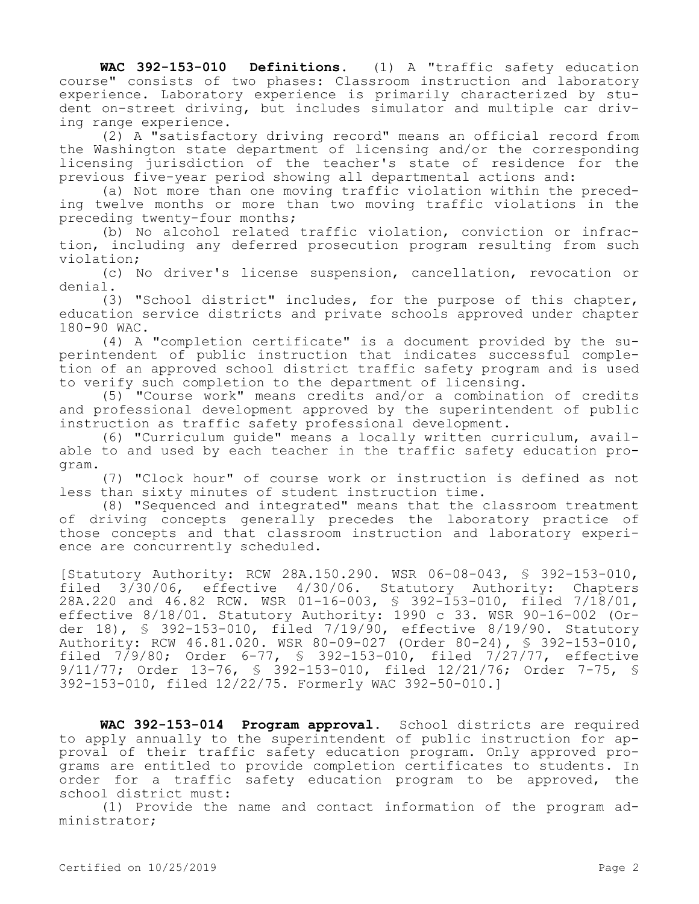**WAC 392-153-010 Definitions.** (1) A "traffic safety education course" consists of two phases: Classroom instruction and laboratory experience. Laboratory experience is primarily characterized by student on-street driving, but includes simulator and multiple car driving range experience.

(2) A "satisfactory driving record" means an official record from the Washington state department of licensing and/or the corresponding licensing jurisdiction of the teacher's state of residence for the previous five-year period showing all departmental actions and:

(a) Not more than one moving traffic violation within the preceding twelve months or more than two moving traffic violations in the preceding twenty-four months;

(b) No alcohol related traffic violation, conviction or infraction, including any deferred prosecution program resulting from such violation;

(c) No driver's license suspension, cancellation, revocation or denial.

(3) "School district" includes, for the purpose of this chapter, education service districts and private schools approved under chapter 180-90 WAC.

(4) A "completion certificate" is a document provided by the superintendent of public instruction that indicates successful completion of an approved school district traffic safety program and is used to verify such completion to the department of licensing.

(5) "Course work" means credits and/or a combination of credits and professional development approved by the superintendent of public instruction as traffic safety professional development.

(6) "Curriculum guide" means a locally written curriculum, available to and used by each teacher in the traffic safety education program.

(7) "Clock hour" of course work or instruction is defined as not less than sixty minutes of student instruction time.

(8) "Sequenced and integrated" means that the classroom treatment of driving concepts generally precedes the laboratory practice of those concepts and that classroom instruction and laboratory experience are concurrently scheduled.

[Statutory Authority: RCW 28A.150.290. WSR 06-08-043, § 392-153-010, filed 3/30/06, effective 4/30/06. Statutory Authority: Chapters 28A.220 and 46.82 RCW. WSR 01-16-003, § 392-153-010, filed 7/18/01, effective 8/18/01. Statutory Authority: 1990 c 33. WSR 90-16-002 (Order 18), § 392-153-010, filed 7/19/90, effective 8/19/90. Statutory Authority: RCW 46.81.020. WSR 80-09-027 (Order 80-24), § 392-153-010, filed 7/9/80; Order 6-77, § 392-153-010, filed 7/27/77, effective 9/11/77; Order 13-76, § 392-153-010, filed 12/21/76; Order 7-75, § 392-153-010, filed 12/22/75. Formerly WAC 392-50-010.]

**WAC 392-153-014 Program approval.** School districts are required to apply annually to the superintendent of public instruction for approval of their traffic safety education program. Only approved programs are entitled to provide completion certificates to students. In order for a traffic safety education program to be approved, the school district must:

(1) Provide the name and contact information of the program administrator;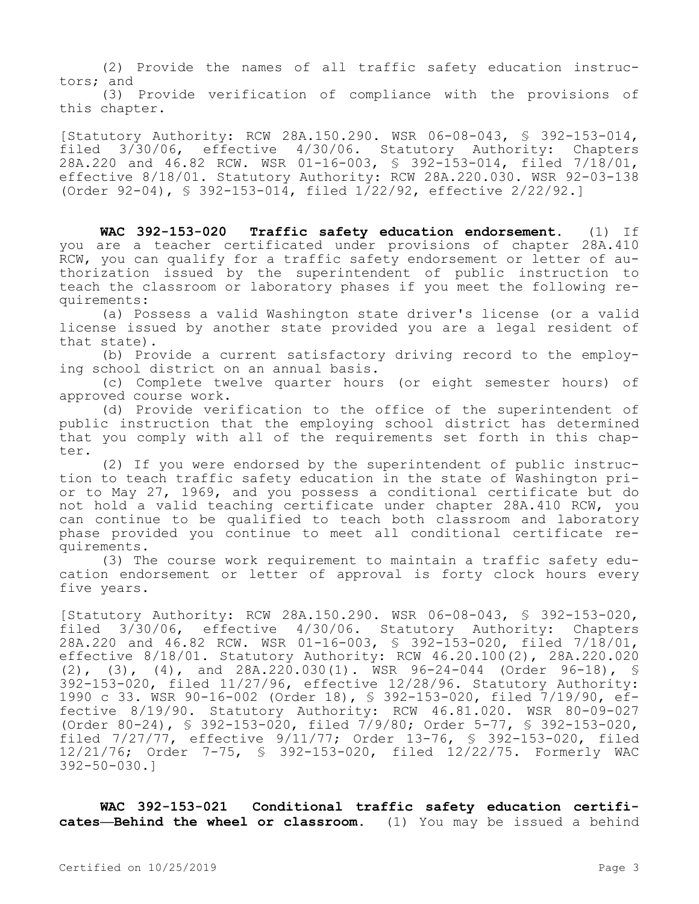(2) Provide the names of all traffic safety education instructors; and

(3) Provide verification of compliance with the provisions of this chapter.

[Statutory Authority: RCW 28A.150.290. WSR 06-08-043, § 392-153-014, filed 3/30/06, effective 4/30/06. Statutory Authority: Chapters 28A.220 and 46.82 RCW. WSR 01-16-003, § 392-153-014, filed 7/18/01, effective 8/18/01. Statutory Authority: RCW 28A.220.030. WSR 92-03-138 (Order 92-04), § 392-153-014, filed 1/22/92, effective 2/22/92.]

**WAC 392-153-020 Traffic safety education endorsement.** (1) If you are a teacher certificated under provisions of chapter 28A.410 RCW, you can qualify for a traffic safety endorsement or letter of authorization issued by the superintendent of public instruction to teach the classroom or laboratory phases if you meet the following requirements:

(a) Possess a valid Washington state driver's license (or a valid license issued by another state provided you are a legal resident of that state).

(b) Provide a current satisfactory driving record to the employing school district on an annual basis.

(c) Complete twelve quarter hours (or eight semester hours) of approved course work.

(d) Provide verification to the office of the superintendent of public instruction that the employing school district has determined that you comply with all of the requirements set forth in this chapter.

(2) If you were endorsed by the superintendent of public instruction to teach traffic safety education in the state of Washington prior to May 27, 1969, and you possess a conditional certificate but do not hold a valid teaching certificate under chapter 28A.410 RCW, you can continue to be qualified to teach both classroom and laboratory phase provided you continue to meet all conditional certificate requirements.

(3) The course work requirement to maintain a traffic safety education endorsement or letter of approval is forty clock hours every five years.

[Statutory Authority: RCW 28A.150.290. WSR 06-08-043, § 392-153-020, filed 3/30/06, effective 4/30/06. Statutory Authority: Chapters 28A.220 and 46.82 RCW. WSR 01-16-003, § 392-153-020, filed 7/18/01, effective 8/18/01. Statutory Authority: RCW 46.20.100(2), 28A.220.020 (2), (3), (4), and 28A.220.030(1). WSR 96-24-044 (Order 96-18), § 392-153-020, filed 11/27/96, effective 12/28/96. Statutory Authority: 1990 c 33. WSR 90-16-002 (Order 18), § 392-153-020, filed 7/19/90, effective 8/19/90. Statutory Authority: RCW 46.81.020. WSR 80-09-027 (Order 80-24), § 392-153-020, filed 7/9/80; Order 5-77, § 392-153-020, filed 7/27/77, effective 9/11/77; Order 13-76, § 392-153-020, filed 12/21/76; Order 7-75, § 392-153-020, filed 12/22/75. Formerly WAC 392-50-030.]

**WAC 392-153-021 Conditional traffic safety education certificates—Behind the wheel or classroom.** (1) You may be issued a behind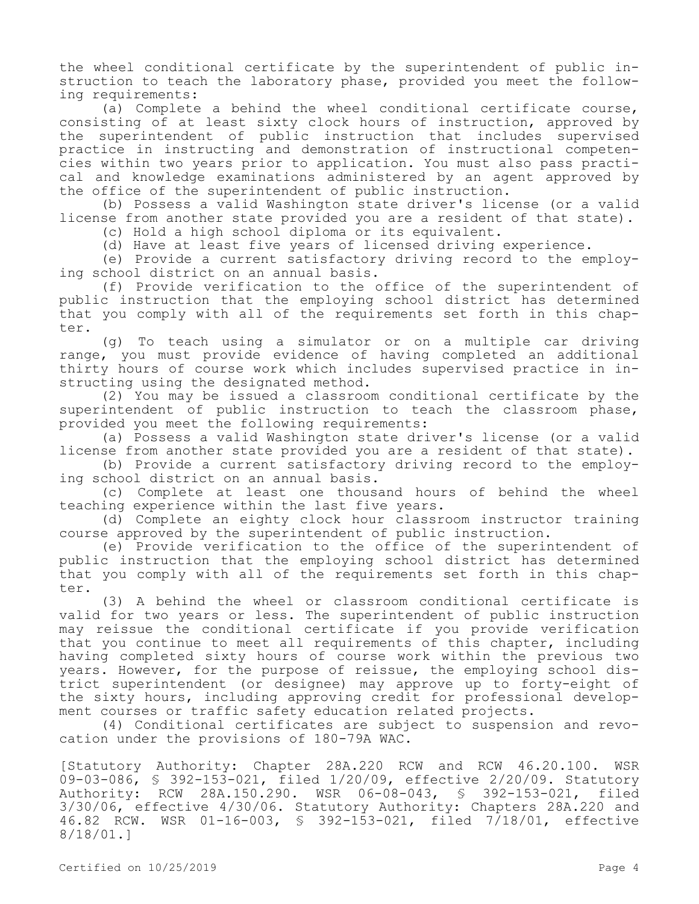the wheel conditional certificate by the superintendent of public instruction to teach the laboratory phase, provided you meet the following requirements:

(a) Complete a behind the wheel conditional certificate course, consisting of at least sixty clock hours of instruction, approved by the superintendent of public instruction that includes supervised practice in instructing and demonstration of instructional competencies within two years prior to application. You must also pass practical and knowledge examinations administered by an agent approved by the office of the superintendent of public instruction.

(b) Possess a valid Washington state driver's license (or a valid license from another state provided you are a resident of that state).

(c) Hold a high school diploma or its equivalent.

(d) Have at least five years of licensed driving experience.

(e) Provide a current satisfactory driving record to the employing school district on an annual basis.

(f) Provide verification to the office of the superintendent of public instruction that the employing school district has determined that you comply with all of the requirements set forth in this chapter.

(g) To teach using a simulator or on a multiple car driving range, you must provide evidence of having completed an additional thirty hours of course work which includes supervised practice in instructing using the designated method.

(2) You may be issued a classroom conditional certificate by the superintendent of public instruction to teach the classroom phase, provided you meet the following requirements:

(a) Possess a valid Washington state driver's license (or a valid license from another state provided you are a resident of that state).

(b) Provide a current satisfactory driving record to the employing school district on an annual basis.

(c) Complete at least one thousand hours of behind the wheel teaching experience within the last five years.

(d) Complete an eighty clock hour classroom instructor training course approved by the superintendent of public instruction.

(e) Provide verification to the office of the superintendent of public instruction that the employing school district has determined that you comply with all of the requirements set forth in this chapter.

(3) A behind the wheel or classroom conditional certificate is valid for two years or less. The superintendent of public instruction may reissue the conditional certificate if you provide verification that you continue to meet all requirements of this chapter, including having completed sixty hours of course work within the previous two years. However, for the purpose of reissue, the employing school district superintendent (or designee) may approve up to forty-eight of the sixty hours, including approving credit for professional development courses or traffic safety education related projects.

(4) Conditional certificates are subject to suspension and revocation under the provisions of 180-79A WAC.

[Statutory Authority: Chapter 28A.220 RCW and RCW 46.20.100. WSR 09-03-086, § 392-153-021, filed 1/20/09, effective 2/20/09. Statutory Authority: RCW 28A.150.290. WSR 06-08-043, § 392-153-021, filed 3/30/06, effective 4/30/06. Statutory Authority: Chapters 28A.220 and 46.82 RCW. WSR 01-16-003, § 392-153-021, filed 7/18/01, effective 8/18/01.]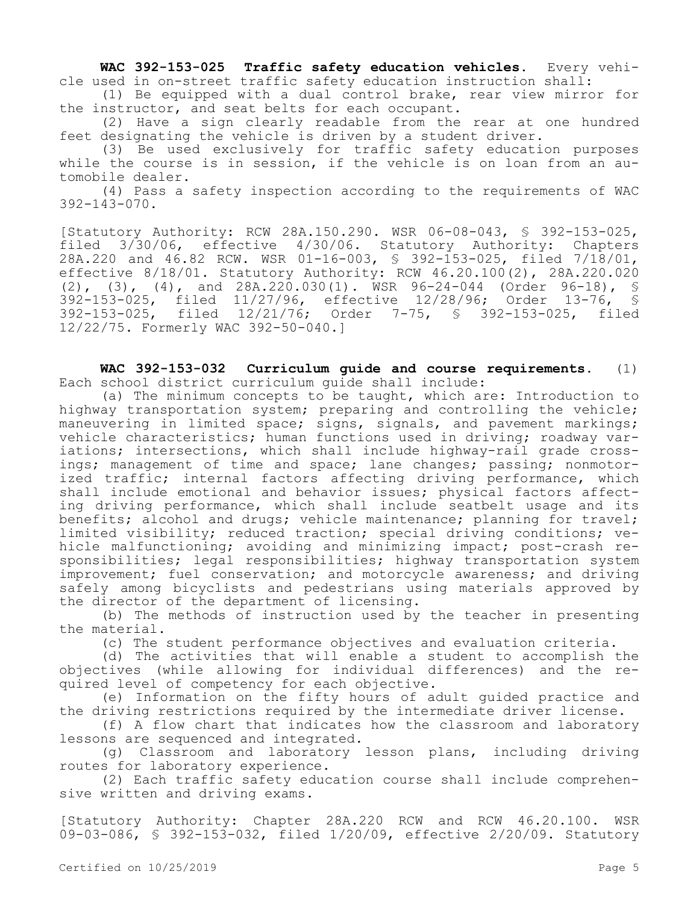**WAC 392-153-025 Traffic safety education vehicles.** Every vehicle used in on-street traffic safety education instruction shall:

(1) Be equipped with a dual control brake, rear view mirror for the instructor, and seat belts for each occupant.

(2) Have a sign clearly readable from the rear at one hundred feet designating the vehicle is driven by a student driver.

(3) Be used exclusively for traffic safety education purposes while the course is in session, if the vehicle is on loan from an automobile dealer.

(4) Pass a safety inspection according to the requirements of WAC 392-143-070.

[Statutory Authority: RCW 28A.150.290. WSR 06-08-043, § 392-153-025, filed 3/30/06, effective 4/30/06. Statutory Authority: Chapters 28A.220 and 46.82 RCW. WSR 01-16-003, § 392-153-025, filed 7/18/01, effective 8/18/01. Statutory Authority: RCW 46.20.100(2), 28A.220.020 (2), (3), (4), and 28A.220.030(1). WSR 96-24-044 (Order 96-18), § 392-153-025, filed 11/27/96, effective 12/28/96; Order 13-76, § 392-153-025, filed 12/21/76; Order 7-75, § 392-153-025, filed 12/22/75. Formerly WAC 392-50-040.]

**WAC 392-153-032 Curriculum guide and course requirements.** (1) Each school district curriculum guide shall include:

(a) The minimum concepts to be taught, which are: Introduction to highway transportation system; preparing and controlling the vehicle; maneuvering in limited space; signs, signals, and pavement markings; vehicle characteristics; human functions used in driving; roadway variations; intersections, which shall include highway-rail grade crossings; management of time and space; lane changes; passing; nonmotorized traffic; internal factors affecting driving performance, which shall include emotional and behavior issues; physical factors affecting driving performance, which shall include seatbelt usage and its benefits; alcohol and drugs; vehicle maintenance; planning for travel; limited visibility; reduced traction; special driving conditions; vehicle malfunctioning; avoiding and minimizing impact; post-crash responsibilities; legal responsibilities; highway transportation system improvement; fuel conservation; and motorcycle awareness; and driving safely among bicyclists and pedestrians using materials approved by the director of the department of licensing.

(b) The methods of instruction used by the teacher in presenting the material.

(c) The student performance objectives and evaluation criteria.

(d) The activities that will enable a student to accomplish the objectives (while allowing for individual differences) and the required level of competency for each objective.

(e) Information on the fifty hours of adult guided practice and the driving restrictions required by the intermediate driver license.

(f) A flow chart that indicates how the classroom and laboratory lessons are sequenced and integrated.

(g) Classroom and laboratory lesson plans, including driving routes for laboratory experience.

(2) Each traffic safety education course shall include comprehensive written and driving exams.

[Statutory Authority: Chapter 28A.220 RCW and RCW 46.20.100. WSR 09-03-086, § 392-153-032, filed 1/20/09, effective 2/20/09. Statutory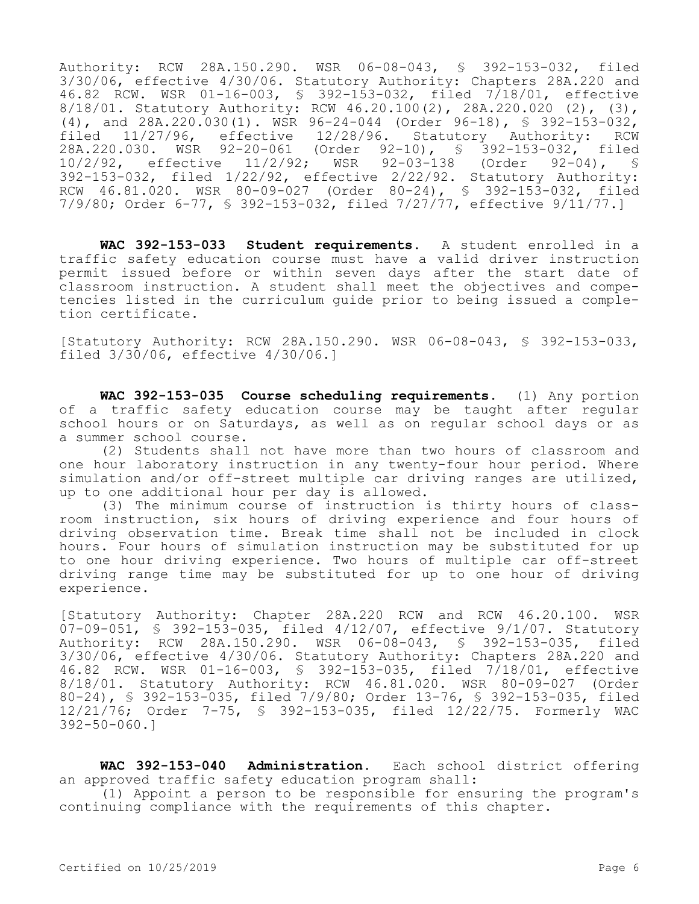Authority: RCW 28A.150.290. WSR 06-08-043, § 392-153-032, filed 3/30/06, effective 4/30/06. Statutory Authority: Chapters 28A.220 and 46.82 RCW. WSR 01-16-003, § 392-153-032, filed 7/18/01, effective 8/18/01. Statutory Authority: RCW 46.20.100(2), 28A.220.020 (2), (3), (4), and 28A.220.030(1). WSR 96-24-044 (Order 96-18), § 392-153-032, filed 11/27/96, effective 12/28/96. Statutory Authority: RCW 28A.220.030. WSR 92-20-061 (Order 92-10), § 392-153-032, filed<br>10/2/92, effective 11/2/92; WSR 92-03-138 (Order 92-04), §  $11/2/92$ ; WSR 92-03-138 392-153-032, filed 1/22/92, effective 2/22/92. Statutory Authority: RCW 46.81.020. WSR 80-09-027 (Order 80-24), § 392-153-032, filed 7/9/80; Order 6-77, § 392-153-032, filed 7/27/77, effective 9/11/77.]

**WAC 392-153-033 Student requirements.** A student enrolled in a traffic safety education course must have a valid driver instruction permit issued before or within seven days after the start date of classroom instruction. A student shall meet the objectives and competencies listed in the curriculum guide prior to being issued a completion certificate.

[Statutory Authority: RCW 28A.150.290. WSR 06-08-043, § 392-153-033, filed 3/30/06, effective 4/30/06.]

**WAC 392-153-035 Course scheduling requirements.** (1) Any portion of a traffic safety education course may be taught after regular school hours or on Saturdays, as well as on regular school days or as a summer school course.

(2) Students shall not have more than two hours of classroom and one hour laboratory instruction in any twenty-four hour period. Where simulation and/or off-street multiple car driving ranges are utilized, up to one additional hour per day is allowed.

(3) The minimum course of instruction is thirty hours of classroom instruction, six hours of driving experience and four hours of driving observation time. Break time shall not be included in clock hours. Four hours of simulation instruction may be substituted for up to one hour driving experience. Two hours of multiple car off-street driving range time may be substituted for up to one hour of driving experience.

[Statutory Authority: Chapter 28A.220 RCW and RCW 46.20.100. WSR 07-09-051, § 392-153-035, filed 4/12/07, effective 9/1/07. Statutory Authority: RCW 28A.150.290. WSR 06-08-043, § 392-153-035, filed 3/30/06, effective 4/30/06. Statutory Authority: Chapters 28A.220 and 46.82 RCW. WSR 01-16-003, § 392-153-035, filed 7/18/01, effective 8/18/01. Statutory Authority: RCW 46.81.020. WSR 80-09-027 (Order 80-24), § 392-153-035, filed 7/9/80; Order 13-76, § 392-153-035, filed 12/21/76; Order 7-75, § 392-153-035, filed 12/22/75. Formerly WAC 392-50-060.]

**WAC 392-153-040 Administration.** Each school district offering an approved traffic safety education program shall:

(1) Appoint a person to be responsible for ensuring the program's continuing compliance with the requirements of this chapter.